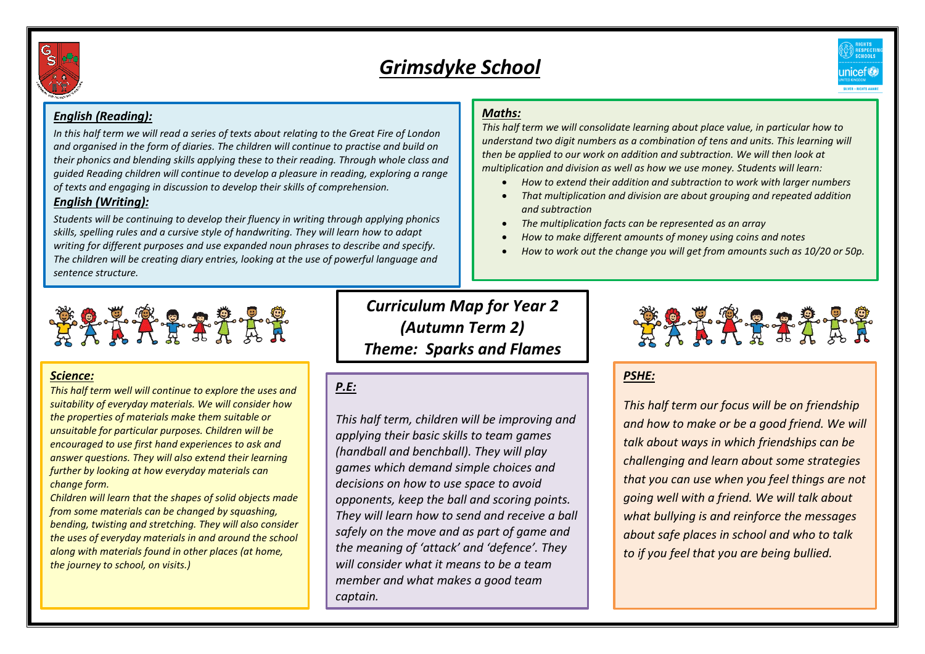

# *Grimsdyke School*



#### *English (Reading):*

*In this half term we will read a series of texts about relating to the Great Fire of London and organised in the form of diaries. The children will continue to practise and build on their phonics and blending skills applying these to their reading. Through whole class and guided Reading children will continue to develop a pleasure in reading, exploring a range of texts and engaging in discussion to develop their skills of comprehension. English (Writing):*

*Students will be continuing to develop their fluency in writing through applying phonics skills, spelling rules and a cursive style of handwriting. They will learn how to adapt writing for different purposes and use expanded noun phrases to describe and specify. The children will be creating diary entries, looking at the use of powerful language and sentence structure.*

### *Maths:*

*This half term we will consolidate learning about place value, in particular how to understand two digit numbers as a combination of tens and units. This learning will then be applied to our work on addition and subtraction. We will then look at multiplication and division as well as how we use money. Students will learn:* 

- *How to extend their addition and subtraction to work with larger numbers*
- *That multiplication and division are about grouping and repeated addition and subtraction*
- *The multiplication facts can be represented as an array*
- *How to make different amounts of money using coins and notes*
- *How to work out the change you will get from amounts such as 10/20 or 50p.*



#### *Science:*

*This half term well will continue to explore the uses and suitability of everyday materials. We will consider how the properties of materials make them suitable or unsuitable for particular purposes. Children will be encouraged to use first hand experiences to ask and answer questions. They will also extend their learning further by looking at how everyday materials can change form.*

*Children will learn that the shapes of solid objects made from some materials can be changed by squashing, bending, twisting and stretching. They will also consider the uses of everyday materials in and around the school along with materials found in other places (at home, the journey to school, on visits.)*

*Curriculum Map for Year 2 (Autumn Term 2) Theme: Sparks and Flames* 

# *P.E:*

*This half term, children will be improving and applying their basic skills to team games (handball and benchball). They will play games which demand simple choices and decisions on how to use space to avoid opponents, keep the ball and scoring points. They will learn how to send and receive a ball safely on the move and as part of game and the meaning of 'attack' and 'defence'. They will consider what it means to be a team member and what makes a good team captain.* 



## *PSHE:*

*This half term our focus will be on friendship and how to make or be a good friend. We will talk about ways in which friendships can be challenging and learn about some strategies that you can use when you feel things are not going well with a friend. We will talk about what bullying is and reinforce the messages about safe places in school and who to talk to if you feel that you are being bullied.*